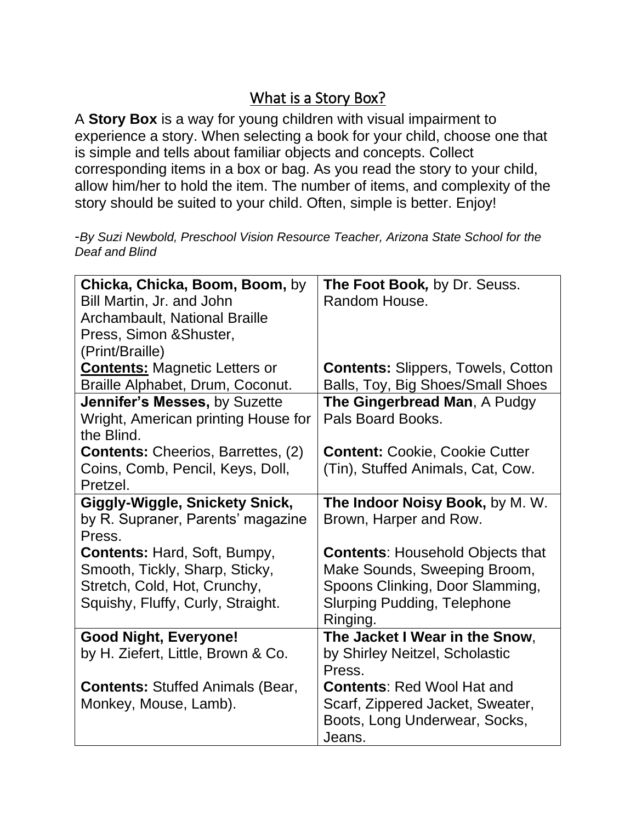## What is a Story Box?

A **Story Box** is a way for young children with visual impairment to experience a story. When selecting a book for your child, choose one that is simple and tells about familiar objects and concepts. Collect corresponding items in a box or bag. As you read the story to your child, allow him/her to hold the item. The number of items, and complexity of the story should be suited to your child. Often, simple is better. Enjoy!

-*By Suzi Newbold, Preschool Vision Resource Teacher, Arizona State School for the Deaf and Blind*

| Chicka, Chicka, Boom, Boom, by            | The Foot Book, by Dr. Seuss.              |
|-------------------------------------------|-------------------------------------------|
| Bill Martin, Jr. and John                 | Random House.                             |
| Archambault, National Braille             |                                           |
| Press, Simon & Shuster,                   |                                           |
| (Print/Braille)                           |                                           |
| <b>Contents: Magnetic Letters or</b>      | <b>Contents: Slippers, Towels, Cotton</b> |
| Braille Alphabet, Drum, Coconut.          | Balls, Toy, Big Shoes/Small Shoes         |
| Jennifer's Messes, by Suzette             | The Gingerbread Man, A Pudgy              |
| Wright, American printing House for       | Pals Board Books.                         |
| the Blind.                                |                                           |
| <b>Contents:</b> Cheerios, Barrettes, (2) | <b>Content: Cookie, Cookie Cutter</b>     |
| Coins, Comb, Pencil, Keys, Doll,          | (Tin), Stuffed Animals, Cat, Cow.         |
| Pretzel.                                  |                                           |
| Giggly-Wiggle, Snickety Snick,            | The Indoor Noisy Book, by M. W.           |
| by R. Supraner, Parents' magazine         | Brown, Harper and Row.                    |
| Press.                                    |                                           |
| <b>Contents: Hard, Soft, Bumpy,</b>       | <b>Contents: Household Objects that</b>   |
| Smooth, Tickly, Sharp, Sticky,            | Make Sounds, Sweeping Broom,              |
| Stretch, Cold, Hot, Crunchy,              | Spoons Clinking, Door Slamming,           |
| Squishy, Fluffy, Curly, Straight.         | <b>Slurping Pudding, Telephone</b>        |
|                                           | Ringing.                                  |
| <b>Good Night, Everyone!</b>              | The Jacket I Wear in the Snow,            |
| by H. Ziefert, Little, Brown & Co.        | by Shirley Neitzel, Scholastic            |
|                                           | Press.                                    |
| <b>Contents: Stuffed Animals (Bear,</b>   | <b>Contents: Red Wool Hat and</b>         |
| Monkey, Mouse, Lamb).                     | Scarf, Zippered Jacket, Sweater,          |
|                                           | Boots, Long Underwear, Socks,             |
|                                           | Jeans.                                    |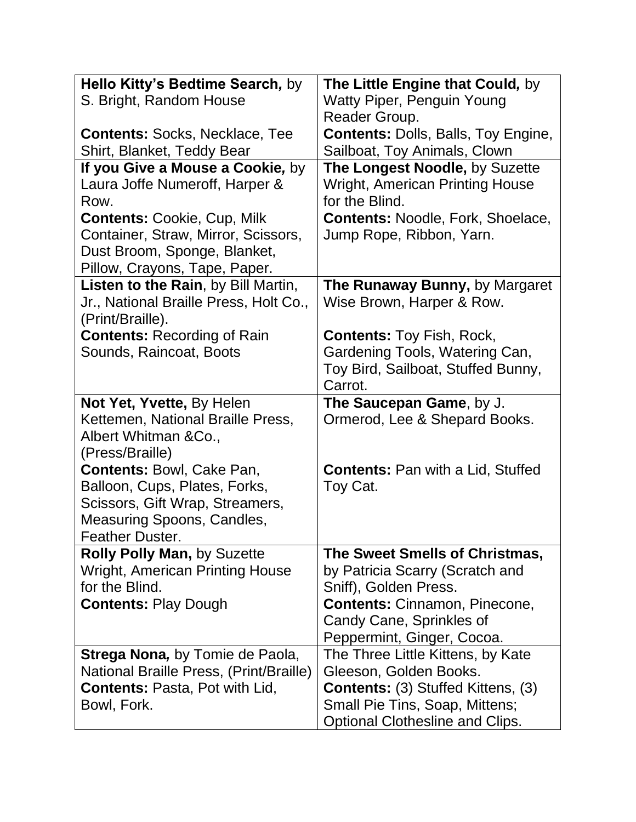| Hello Kitty's Bedtime Search, by             | The Little Engine that Could, by           |
|----------------------------------------------|--------------------------------------------|
| S. Bright, Random House                      | <b>Watty Piper, Penguin Young</b>          |
|                                              | Reader Group.                              |
| <b>Contents: Socks, Necklace, Tee</b>        | <b>Contents: Dolls, Balls, Toy Engine,</b> |
| Shirt, Blanket, Teddy Bear                   | Sailboat, Toy Animals, Clown               |
| If you Give a Mouse a Cookie, by             | The Longest Noodle, by Suzette             |
| Laura Joffe Numeroff, Harper &               | <b>Wright, American Printing House</b>     |
| Row.                                         | for the Blind.                             |
| <b>Contents: Cookie, Cup, Milk</b>           | <b>Contents: Noodle, Fork, Shoelace,</b>   |
| Container, Straw, Mirror, Scissors,          | Jump Rope, Ribbon, Yarn.                   |
| Dust Broom, Sponge, Blanket,                 |                                            |
| Pillow, Crayons, Tape, Paper.                |                                            |
| Listen to the Rain, by Bill Martin,          | The Runaway Bunny, by Margaret             |
| Jr., National Braille Press, Holt Co.,       | Wise Brown, Harper & Row.                  |
| (Print/Braille).                             |                                            |
| <b>Contents: Recording of Rain</b>           | <b>Contents: Toy Fish, Rock,</b>           |
| Sounds, Raincoat, Boots                      | Gardening Tools, Watering Can,             |
|                                              | Toy Bird, Sailboat, Stuffed Bunny,         |
|                                              | Carrot.                                    |
| Not Yet, Yvette, By Helen                    | The Saucepan Game, by J.                   |
| Kettemen, National Braille Press,            | Ormerod, Lee & Shepard Books.              |
| Albert Whitman & Co.,                        |                                            |
| (Press/Braille)<br>Contents: Bowl, Cake Pan, | <b>Contents: Pan with a Lid, Stuffed</b>   |
| Balloon, Cups, Plates, Forks,                | Toy Cat.                                   |
| Scissors, Gift Wrap, Streamers,              |                                            |
| Measuring Spoons, Candles,                   |                                            |
| <b>Feather Duster.</b>                       |                                            |
| <b>Rolly Polly Man, by Suzette</b>           | The Sweet Smells of Christmas,             |
| <b>Wright, American Printing House</b>       | by Patricia Scarry (Scratch and            |
| for the Blind.                               | Sniff), Golden Press.                      |
| <b>Contents: Play Dough</b>                  | <b>Contents: Cinnamon, Pinecone,</b>       |
|                                              | Candy Cane, Sprinkles of                   |
|                                              | Peppermint, Ginger, Cocoa.                 |
| <b>Strega Nona, by Tomie de Paola,</b>       | The Three Little Kittens, by Kate          |
| National Braille Press, (Print/Braille)      | Gleeson, Golden Books.                     |
| <b>Contents: Pasta, Pot with Lid,</b>        | <b>Contents:</b> (3) Stuffed Kittens, (3)  |
| Bowl, Fork.                                  | Small Pie Tins, Soap, Mittens;             |
|                                              | Optional Clothesline and Clips.            |